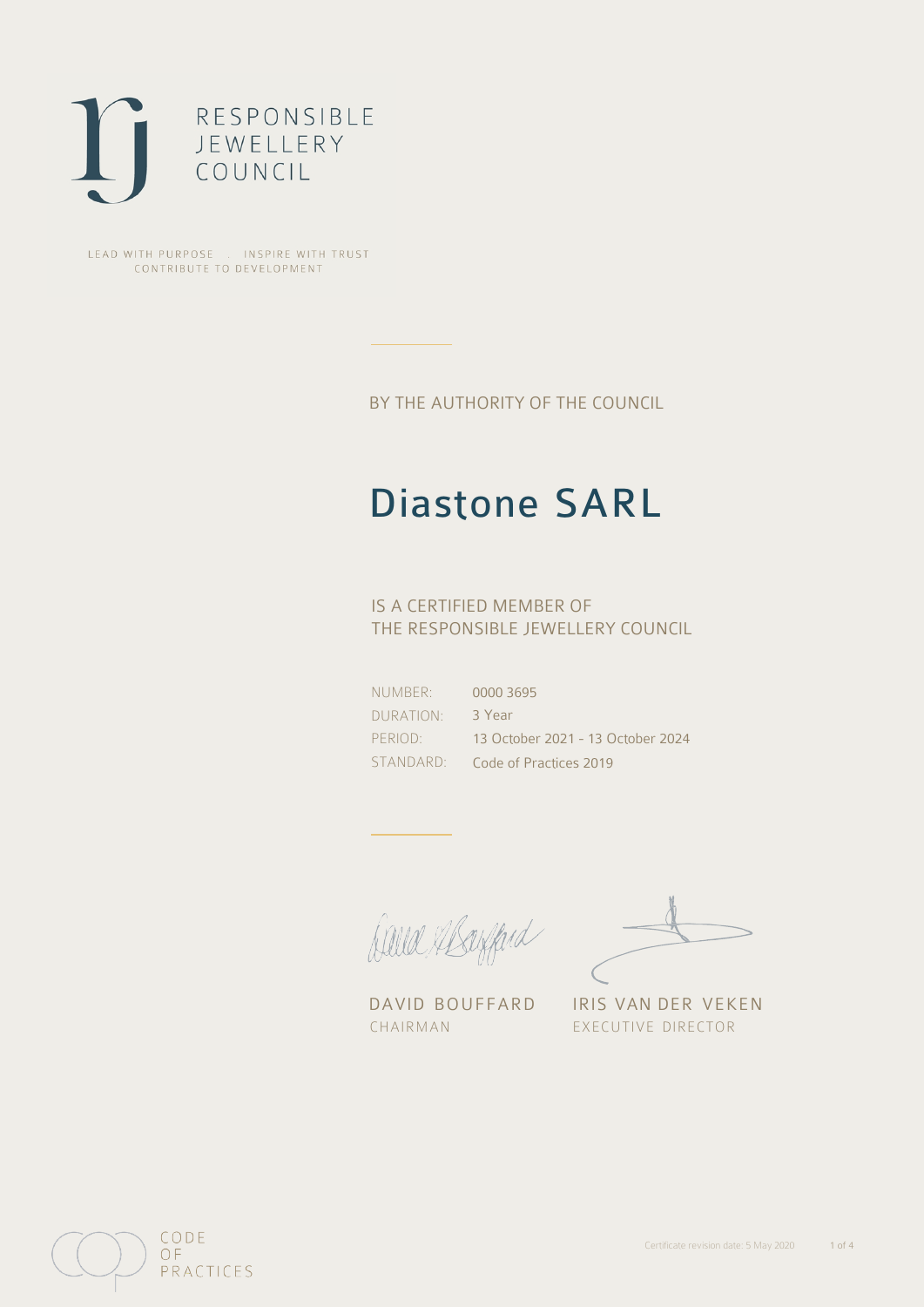

LEAD WITH PURPOSE . INSPIRE WITH TRUST CONTRIBUTE TO DEVELOPMENT

BY THE AUTHORITY OF THE COUNCIL

# Diastone SARL

## IS A CERTIFIED MEMBER OF THE RESPONSIBLE JEWELLERY COUNCIL

NUMBER: DURATION: PERIOD: STANDARD: 0000 3695 3 Year 13 October 2021 - 13 October 2024 Code of Practices 2019

Caux Margaret

DAVID BOUFFARD IRIS VAN DER VEKEN CHAIRMAN EXECUTIVE DIRECTOR

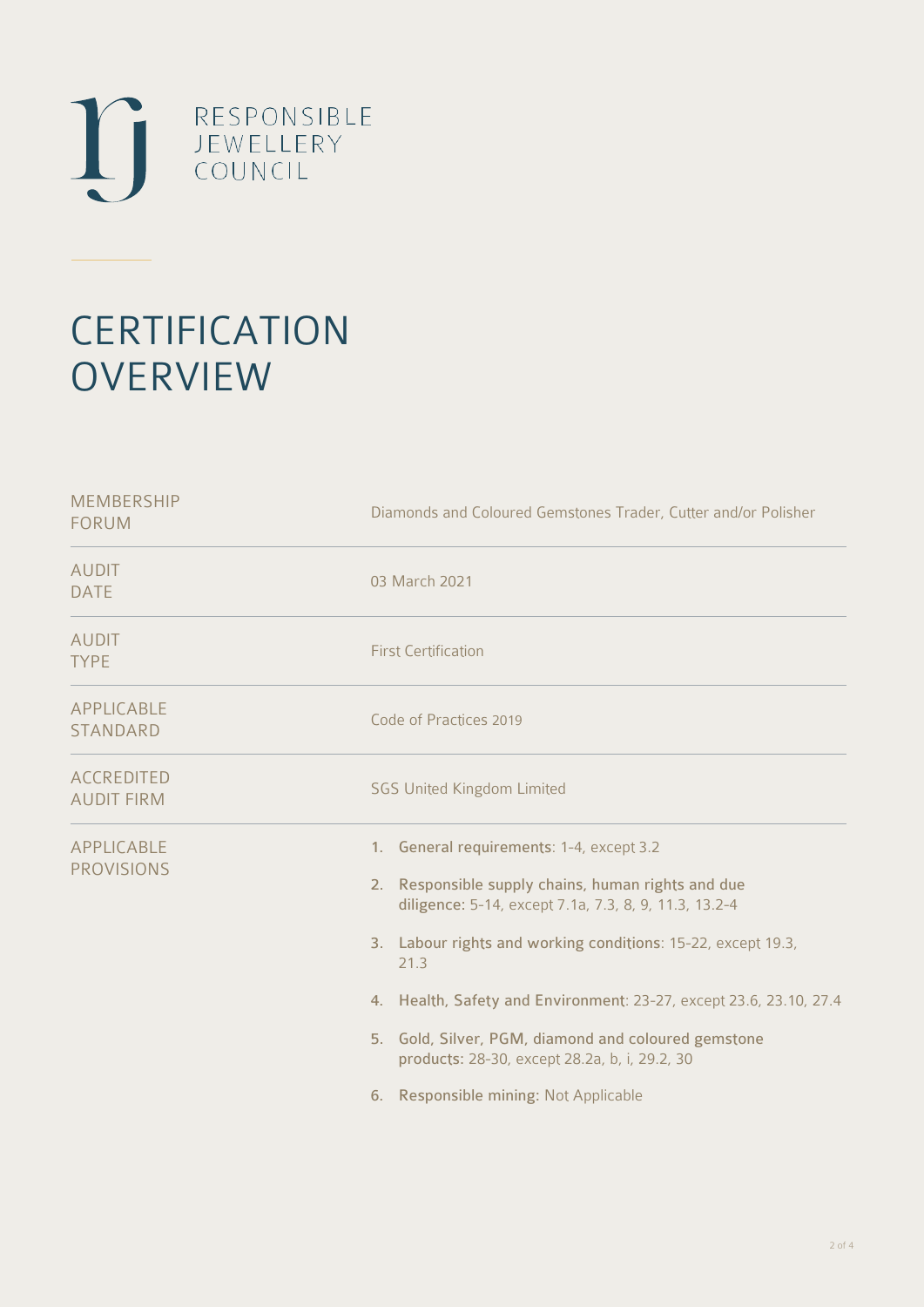

# **CERTIFICATION OVERVIEW**

| Diamonds and Coloured Gemstones Trader, Cutter and/or Polisher                                                                                                                                                                                                                                                                                                                                                                                         |  |  |
|--------------------------------------------------------------------------------------------------------------------------------------------------------------------------------------------------------------------------------------------------------------------------------------------------------------------------------------------------------------------------------------------------------------------------------------------------------|--|--|
| 03 March 2021                                                                                                                                                                                                                                                                                                                                                                                                                                          |  |  |
| <b>First Certification</b>                                                                                                                                                                                                                                                                                                                                                                                                                             |  |  |
| Code of Practices 2019                                                                                                                                                                                                                                                                                                                                                                                                                                 |  |  |
| <b>SGS United Kingdom Limited</b>                                                                                                                                                                                                                                                                                                                                                                                                                      |  |  |
| 1. General requirements: 1-4, except 3.2<br>2. Responsible supply chains, human rights and due<br>diligence: 5-14, except 7.1a, 7.3, 8, 9, 11.3, 13.2-4<br>3. Labour rights and working conditions: 15-22, except 19.3,<br>21.3<br>4. Health, Safety and Environment: 23-27, except 23.6, 23.10, 27.4<br>5. Gold, Silver, PGM, diamond and coloured gemstone<br>products: 28-30, except 28.2a, b, i, 29.2, 30<br>6. Responsible mining: Not Applicable |  |  |
|                                                                                                                                                                                                                                                                                                                                                                                                                                                        |  |  |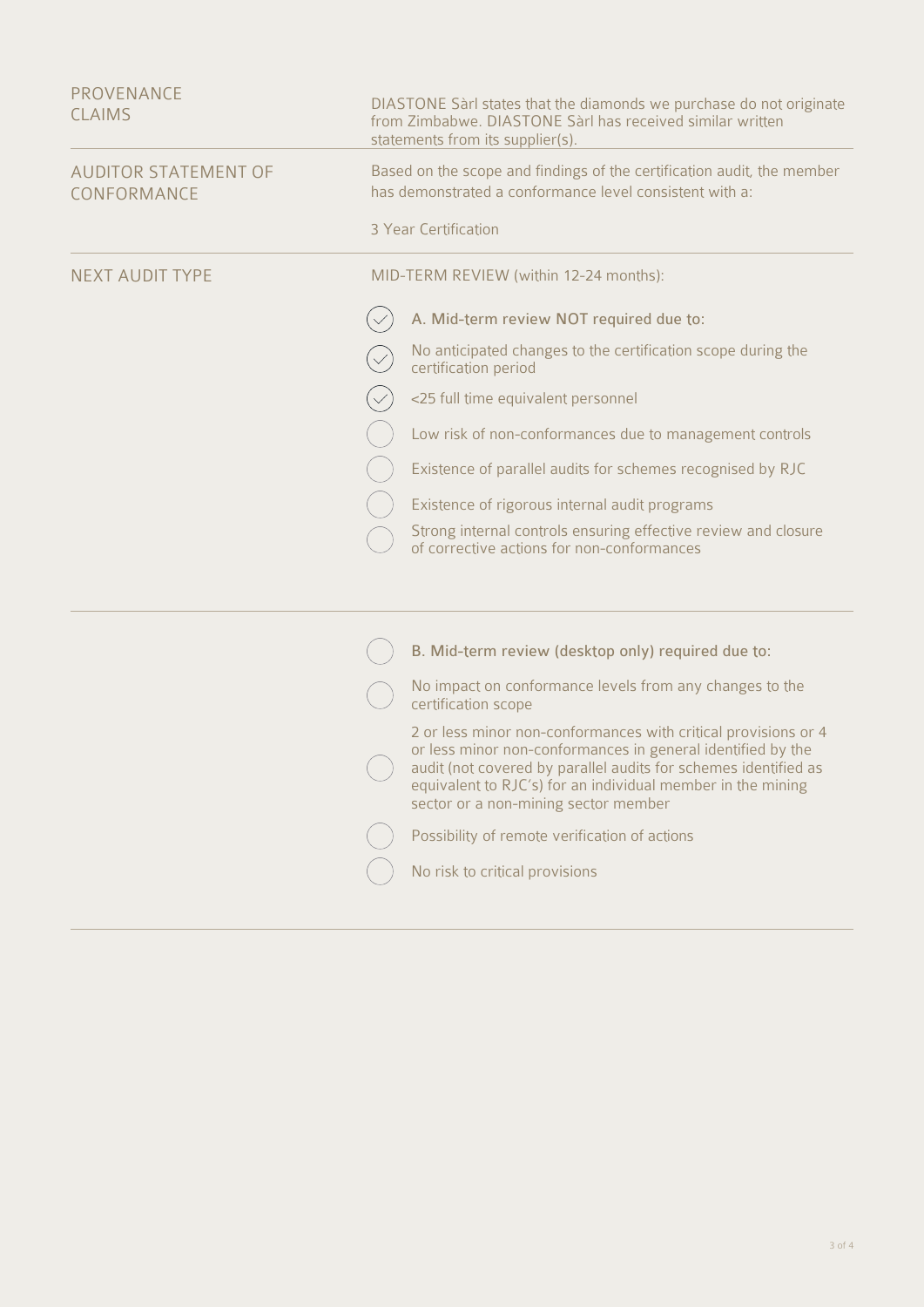| PROVENANCE<br><b>CLAIMS</b>                | DIASTONE Sarl states that the diamonds we purchase do not originate<br>from Zimbabwe. DIASTONE Sàrl has received similar written<br>statements from its supplier(s). |                                                                                                                                                                                                                                                                                                         |  |
|--------------------------------------------|----------------------------------------------------------------------------------------------------------------------------------------------------------------------|---------------------------------------------------------------------------------------------------------------------------------------------------------------------------------------------------------------------------------------------------------------------------------------------------------|--|
| <b>AUDITOR STATEMENT OF</b><br>CONFORMANCE | Based on the scope and findings of the certification audit, the member<br>has demonstrated a conformance level consistent with a:<br>3 Year Certification            |                                                                                                                                                                                                                                                                                                         |  |
|                                            |                                                                                                                                                                      |                                                                                                                                                                                                                                                                                                         |  |
| <b>NEXT AUDIT TYPE</b>                     |                                                                                                                                                                      | MID-TERM REVIEW (within 12-24 months):                                                                                                                                                                                                                                                                  |  |
|                                            |                                                                                                                                                                      | A. Mid-term review NOT required due to:                                                                                                                                                                                                                                                                 |  |
|                                            |                                                                                                                                                                      | No anticipated changes to the certification scope during the<br>certification period                                                                                                                                                                                                                    |  |
|                                            |                                                                                                                                                                      | <25 full time equivalent personnel                                                                                                                                                                                                                                                                      |  |
|                                            |                                                                                                                                                                      | Low risk of non-conformances due to management controls                                                                                                                                                                                                                                                 |  |
|                                            |                                                                                                                                                                      | Existence of parallel audits for schemes recognised by RJC                                                                                                                                                                                                                                              |  |
|                                            |                                                                                                                                                                      | Existence of rigorous internal audit programs                                                                                                                                                                                                                                                           |  |
|                                            |                                                                                                                                                                      | Strong internal controls ensuring effective review and closure<br>of corrective actions for non-conformances                                                                                                                                                                                            |  |
|                                            |                                                                                                                                                                      |                                                                                                                                                                                                                                                                                                         |  |
|                                            |                                                                                                                                                                      | B. Mid-term review (desktop only) required due to:                                                                                                                                                                                                                                                      |  |
|                                            |                                                                                                                                                                      | No impact on conformance levels from any changes to the<br>certification scope                                                                                                                                                                                                                          |  |
|                                            |                                                                                                                                                                      | 2 or less minor non-conformances with critical provisions or 4<br>or less minor non-conformances in general identified by the<br>audit (not covered by parallel audits for schemes identified as<br>equivalent to RJC's) for an individual member in the mining<br>sector or a non-mining sector member |  |
|                                            |                                                                                                                                                                      | Possibility of remote verification of actions                                                                                                                                                                                                                                                           |  |
|                                            |                                                                                                                                                                      | No risk to critical provisions                                                                                                                                                                                                                                                                          |  |